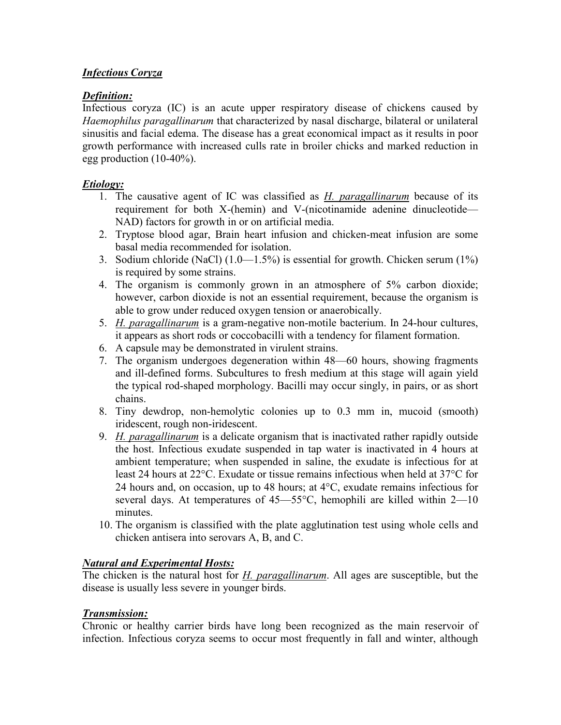# *Infectious Coryza*

## *Definition:*

Infectious coryza (IC) is an acute upper respiratory disease of chickens caused by *Haemophilus paragallinarum* that characterized by nasal discharge, bilateral or unilateral sinusitis and facial edema. The disease has a great economical impact as it results in poor growth performance with increased culls rate in broiler chicks and marked reduction in egg production (10-40%).

#### *Etiology:*

- 1. The causative agent of IC was classified as *H. paragallinarum* because of its requirement for both X-(hemin) and V-(nicotinamide adenine dinucleotide— NAD) factors for growth in or on artificial media.
- 2. Tryptose blood agar, Brain heart infusion and chicken-meat infusion are some basal media recommended for isolation.
- 3. Sodium chloride (NaCl) (1.0—1.5%) is essential for growth. Chicken serum (1%) is required by some strains.
- 4. The organism is commonly grown in an atmosphere of 5% carbon dioxide; however, carbon dioxide is not an essential requirement, because the organism is able to grow under reduced oxygen tension or anaerobically.
- 5. *H. paragallinarum* is a gram-negative non-motile bacterium. In 24-hour cultures, it appears as short rods or coccobacilli with a tendency for filament formation.
- 6. A capsule may be demonstrated in virulent strains.
- 7. The organism undergoes degeneration within 48—60 hours, showing fragments and ill-defined forms. Subcultures to fresh medium at this stage will again yield the typical rod-shaped morphology. Bacilli may occur singly, in pairs, or as short chains.
- 8. Tiny dewdrop, non-hemolytic colonies up to 0.3 mm in, mucoid (smooth) iridescent, rough non-iridescent.
- 9. *H. paragallinarum* is a delicate organism that is inactivated rather rapidly outside the host. Infectious exudate suspended in tap water is inactivated in 4 hours at ambient temperature; when suspended in saline, the exudate is infectious for at least 24 hours at 22°C. Exudate or tissue remains infectious when held at 37°C for 24 hours and, on occasion, up to 48 hours; at  $4^{\circ}$ C, exudate remains infectious for several days. At temperatures of  $45-55^{\circ}$ C, hemophili are killed within  $2-10$ minutes.
- 10. The organism is classified with the plate agglutination test using whole cells and chicken antisera into serovars A, B, and C.

# *Natural and Experimental Hosts:*

The chicken is the natural host for *H. paragallinarum*. All ages are susceptible, but the disease is usually less severe in younger birds.

#### *Transmission:*

Chronic or healthy carrier birds have long been recognized as the main reservoir of infection. Infectious coryza seems to occur most frequently in fall and winter, although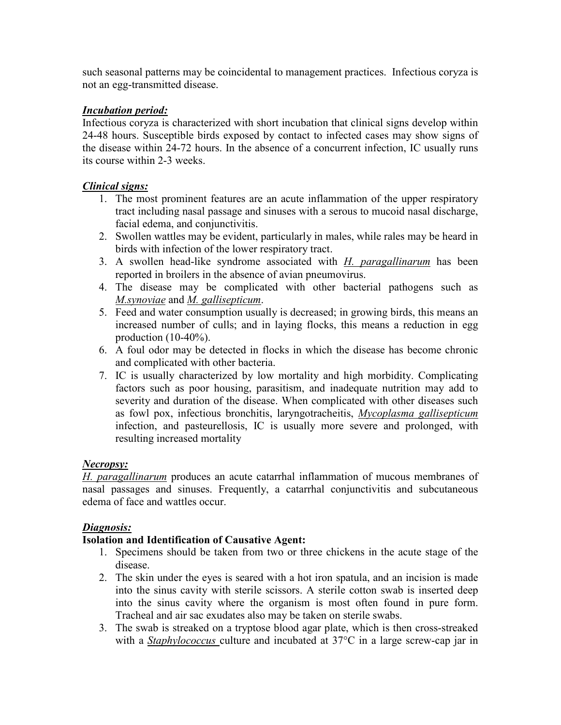such seasonal patterns may be coincidental to management practices. Infectious coryza is not an egg-transmitted disease.

## *Incubation period:*

Infectious coryza is characterized with short incubation that clinical signs develop within 24-48 hours. Susceptible birds exposed by contact to infected cases may show signs of the disease within 24-72 hours. In the absence of a concurrent infection, IC usually runs its course within 2-3 weeks.

#### *Clinical signs:*

- 1. The most prominent features are an acute inflammation of the upper respiratory tract including nasal passage and sinuses with a serous to mucoid nasal discharge, facial edema, and conjunctivitis.
- 2. Swollen wattles may be evident, particularly in males, while rales may be heard in birds with infection of the lower respiratory tract.
- 3. A swollen head-like syndrome associated with *H. paragallinarum* has been reported in broilers in the absence of avian pneumovirus.
- 4. The disease may be complicated with other bacterial pathogens such as *M.synoviae* and *M. gallisepticum*.
- 5. Feed and water consumption usually is decreased; in growing birds, this means an increased number of culls; and in laying flocks, this means a reduction in egg production (10-40%).
- 6. A foul odor may be detected in flocks in which the disease has become chronic and complicated with other bacteria.
- 7. IC is usually characterized by low mortality and high morbidity. Complicating factors such as poor housing, parasitism, and inadequate nutrition may add to severity and duration of the disease. When complicated with other diseases such as fowl pox, infectious bronchitis, laryngotracheitis, *Mycoplasma gallisepticum* infection, and pasteurellosis, IC is usually more severe and prolonged, with resulting increased mortality

#### *Necropsy:*

*H. paragallinarum* produces an acute catarrhal inflammation of mucous membranes of nasal passages and sinuses. Frequently, a catarrhal conjunctivitis and subcutaneous edema of face and wattles occur.

#### *Diagnosis:*

#### **Isolation and Identification of Causative Agent:**

- 1. Specimens should be taken from two or three chickens in the acute stage of the disease.
- 2. The skin under the eyes is seared with a hot iron spatula, and an incision is made into the sinus cavity with sterile scissors. A sterile cotton swab is inserted deep into the sinus cavity where the organism is most often found in pure form. Tracheal and air sac exudates also may be taken on sterile swabs.
- 3. The swab is streaked on a tryptose blood agar plate, which is then cross-streaked with a *Staphylococcus* culture and incubated at 37°C in a large screw-cap jar in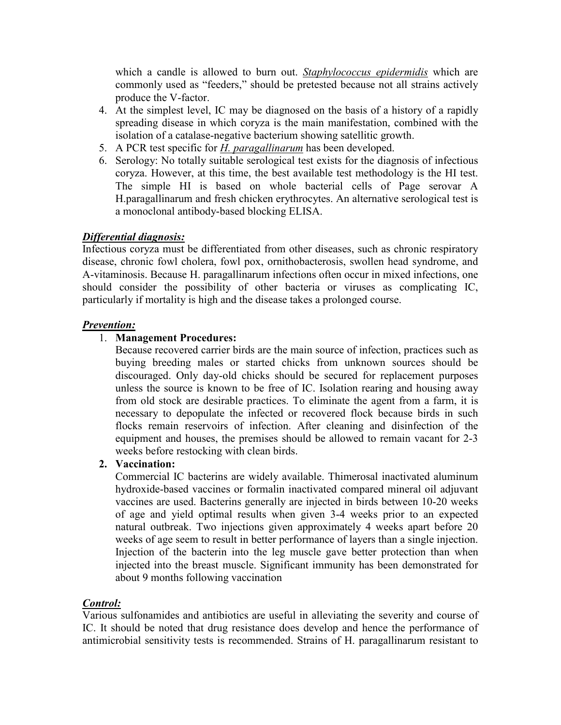which a candle is allowed to burn out. *Staphylococcus epidermidis* which are commonly used as "feeders," should be pretested because not all strains actively produce the V-factor.

- 4. At the simplest level, IC may be diagnosed on the basis of a history of a rapidly spreading disease in which coryza is the main manifestation, combined with the isolation of a catalase-negative bacterium showing satellitic growth.
- 5. A PCR test specific for *H. paragallinarum* has been developed.
- 6. Serology: No totally suitable serological test exists for the diagnosis of infectious coryza. However, at this time, the best available test methodology is the HI test. The simple HI is based on whole bacterial cells of Page serovar A H.paragallinarum and fresh chicken erythrocytes. An alternative serological test is a monoclonal antibody-based blocking ELISA.

# *Differential diagnosis:*

Infectious coryza must be differentiated from other diseases, such as chronic respiratory disease, chronic fowl cholera, fowl pox, ornithobacterosis, swollen head syndrome, and A-vitaminosis. Because H. paragallinarum infections often occur in mixed infections, one should consider the possibility of other bacteria or viruses as complicating IC, particularly if mortality is high and the disease takes a prolonged course.

#### *Prevention:*

# 1. **Management Procedures:**

Because recovered carrier birds are the main source of infection, practices such as buying breeding males or started chicks from unknown sources should be discouraged. Only day-old chicks should be secured for replacement purposes unless the source is known to be free of IC. Isolation rearing and housing away from old stock are desirable practices. To eliminate the agent from a farm, it is necessary to depopulate the infected or recovered flock because birds in such flocks remain reservoirs of infection. After cleaning and disinfection of the equipment and houses, the premises should be allowed to remain vacant for 2-3 weeks before restocking with clean birds.

#### **2. Vaccination:**

 Commercial IC bacterins are widely available. Thimerosal inactivated aluminum hydroxide-based vaccines or formalin inactivated compared mineral oil adjuvant vaccines are used. Bacterins generally are injected in birds between 10-20 weeks of age and yield optimal results when given 3-4 weeks prior to an expected natural outbreak. Two injections given approximately 4 weeks apart before 20 weeks of age seem to result in better performance of layers than a single injection. Injection of the bacterin into the leg muscle gave better protection than when injected into the breast muscle. Significant immunity has been demonstrated for about 9 months following vaccination

#### *Control:*

Various sulfonamides and antibiotics are useful in alleviating the severity and course of IC. It should be noted that drug resistance does develop and hence the performance of antimicrobial sensitivity tests is recommended. Strains of H. paragallinarum resistant to